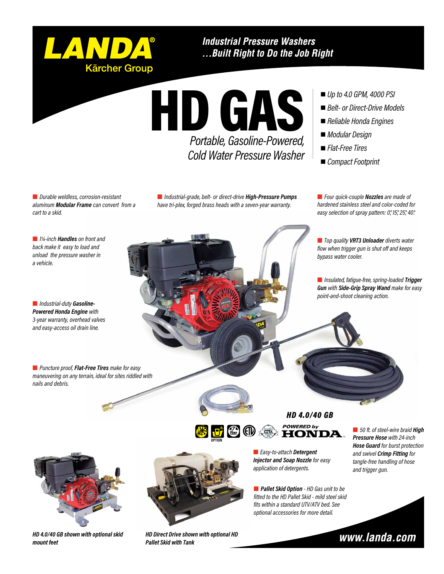

**Industrial Pressure Washers** ...Built Right to Do the Job Right

HD GAS *Portable, Gasoline-Powered, Cold Water Pressure Washer*

- *Up to 4.0 GPM, 4000 PSI*
- *Belt- or Direct-Drive Models*
- *Reliable Honda Engines*
- *Modular Design*
- *Flat-Free Tires*
- *Compact Footprint*

n *Durable weldless, corrosion-resistant aluminum Modular Frame can convert from a cart to a skid.*

n *Industrial-grade, belt- or direct-drive High-Pressure Pumps have tri-plex, forged brass heads with a seven-year warranty.*

■ *Four quick-couple Nozzles are made of hardened stainless steel and color-coded for easy selection of spray pattern: 0°, 15°, 25°, 40°.*

■ *Top quality VRT3 Unloader diverts water flow when trigger gun is shut off and keeps bypass water cooler.*

n *Insulated, fatigue-free, spring-loaded Trigger Gun with Side-Grip Spray Wand make for easy point-and-shoot cleaning action.*

■ *1¼-inch Handles* on front and *back make it easy to load and unload the pressure washer in a vehicle.*

n *Industrial-duty Gasoline-Powered Honda Engine with 3-year warranty, overhead valves and easy-access oil drain line.*



■ *Puncture proof, Flat-Free Tires make for easy maneuvering on any terrain, ideal for sites riddled with nails and debris.* 



*HD 4.0/40 GB* **POWERED by** 



n *Easy-to-attach Detergent Injector and Soap Nozzle for easy application of detergents.*

n *Pallet Skid Option - HD Gas unit to be fitted to the HD Pallet Skid - mild steel skid fits within a standard UTV/ATV bed. See optional accessories for more detail.*

■ 50 ft. of steel-wire braid **High** *Pressure Hose with 24-inch Hose Guard for burst protection and swivel Crimp Fitting for tangle-free handling of hose and trigger gun.*



www.landa.com



*HD 4.0/40 GB shown with optional skid mount feet* 

*HD Direct Drive shown with optional HD Pallet Skid with Tank*